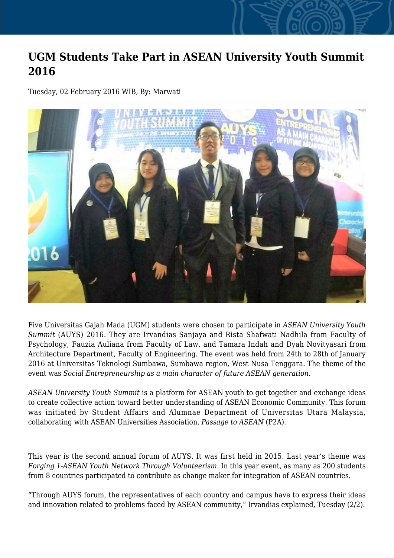## **UGM Students Take Part in ASEAN University Youth Summit 2016**

Tuesday, 02 February 2016 WIB, By: Marwati



Five Universitas Gajah Mada (UGM) students were chosen to participate in *ASEAN University Youth Summit* (AUYS) 2016. They are Irvandias Sanjaya and Rista Shafwati Nadhila from Faculty of Psychology, Fauzia Auliana from Faculty of Law, and Tamara Indah and Dyah Novityasari from Architecture Department, Faculty of Engineering. The event was held from 24th to 28th of January 2016 at Universitas Teknologi Sumbawa, Sumbawa region, West Nusa Tenggara. The theme of the event was *Social Entrepreneurship as a main character of future ASEAN generation.*

*ASEAN University Youth Summit* is a platform for ASEAN youth to get together and exchange ideas to create collective action toward better understanding of ASEAN Economic Community. This forum was initiated by Student Affairs and Alumnae Department of Universitas Utara Malaysia, collaborating with ASEAN Universities Association, *Passage to ASEAN* (P2A).

This year is the second annual forum of AUYS. It was first held in 2015. Last year's theme was *Forging 1-ASEAN Youth Network Through Volunteerism*. In this year event, as many as 200 students from 8 countries participated to contribute as change maker for integration of ASEAN countries.

"Through AUYS forum, the representatives of each country and campus have to express their ideas and innovation related to problems faced by ASEAN community," Irvandias explained, Tuesday (2/2).